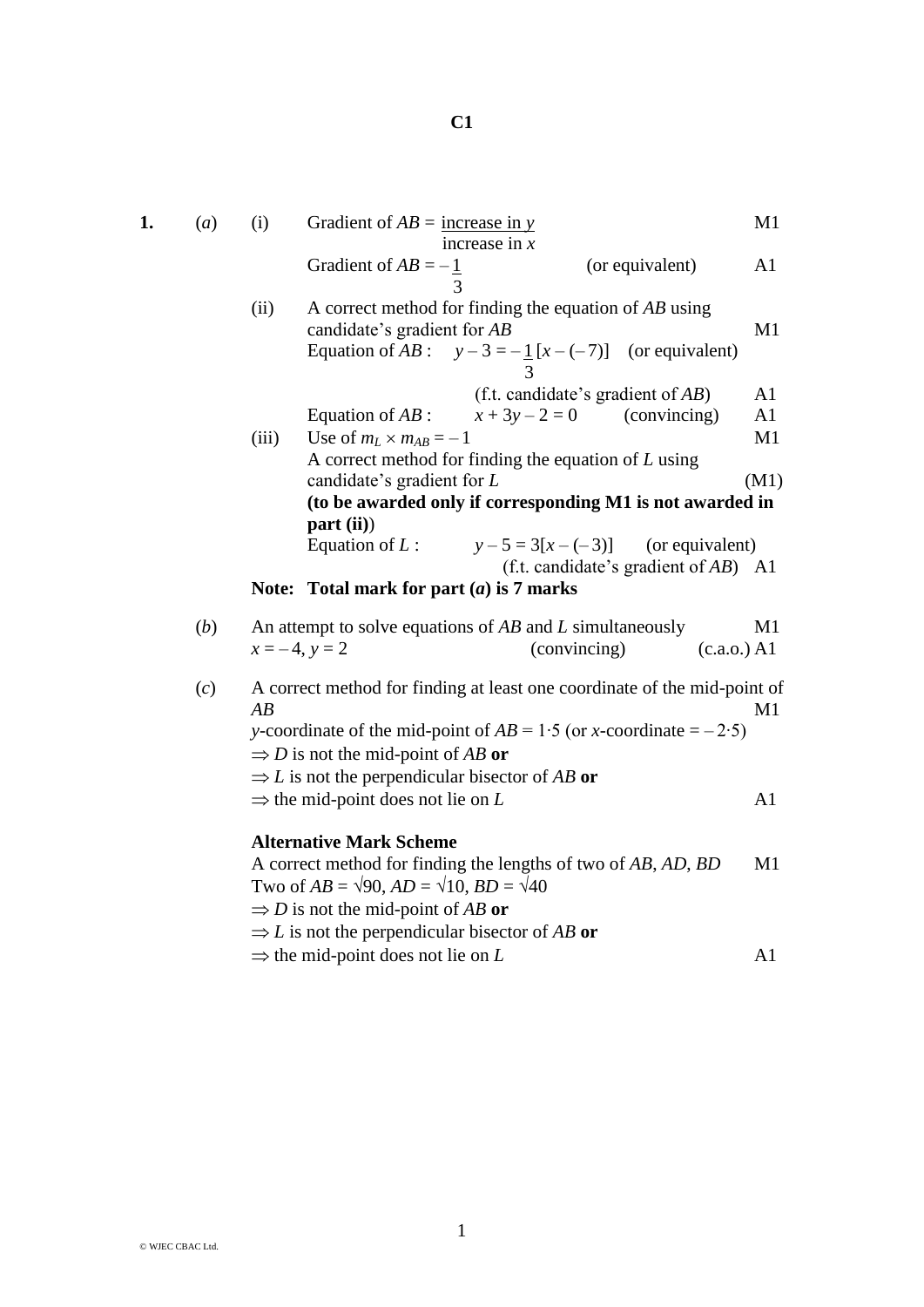| 1. | (a) | (i)                                                                            | Gradient of $AB =$ increase in y                                                                                                                      | increase in $x$                       |                                         | M1             |  |
|----|-----|--------------------------------------------------------------------------------|-------------------------------------------------------------------------------------------------------------------------------------------------------|---------------------------------------|-----------------------------------------|----------------|--|
|    |     |                                                                                | Gradient of $AB = -1$                                                                                                                                 |                                       | (or equivalent)                         | A1             |  |
|    |     | (ii)                                                                           | A correct method for finding the equation of $AB$ using<br>candidate's gradient for AB<br>Equation of AB : $y-3=-\frac{1}{3}[x-(-7)]$ (or equivalent) |                                       |                                         | M1             |  |
|    |     |                                                                                |                                                                                                                                                       | (f.t. candidate's gradient of $AB$ )  |                                         | A <sub>1</sub> |  |
|    |     |                                                                                | Equation of $AB$ :                                                                                                                                    | $x + 3y - 2 = 0$                      | (convincing)                            | A1             |  |
|    |     | (iii)                                                                          | Use of $m_L \times m_{AB} = -1$                                                                                                                       |                                       |                                         | M1             |  |
|    |     |                                                                                | A correct method for finding the equation of $L$ using                                                                                                |                                       |                                         |                |  |
|    |     |                                                                                | candidate's gradient for $L$                                                                                                                          |                                       |                                         | (M1)           |  |
|    |     |                                                                                | (to be awarded only if corresponding M1 is not awarded in                                                                                             |                                       |                                         |                |  |
|    |     |                                                                                | part (ii)<br>Equation of $L$ :                                                                                                                        | $y - 5 = 3[x - (-3)]$ (or equivalent) |                                         |                |  |
|    |     |                                                                                |                                                                                                                                                       |                                       | (f.t. candidate's gradient of $AB$ ) A1 |                |  |
|    |     |                                                                                | Note: Total mark for part $(a)$ is 7 marks                                                                                                            |                                       |                                         |                |  |
|    | (b) | An attempt to solve equations of $AB$ and $L$ simultaneously<br>M <sub>1</sub> |                                                                                                                                                       |                                       |                                         |                |  |
|    |     |                                                                                | $x = -4$ , $y = 2$                                                                                                                                    | (convincing)                          | (c.a.o.) A1                             |                |  |
|    | (c) | $\overline{AB}$                                                                | A correct method for finding at least one coordinate of the mid-point of                                                                              |                                       |                                         | M1             |  |
|    |     |                                                                                | y-coordinate of the mid-point of $AB = 1.5$ (or x-coordinate = -2.5)                                                                                  |                                       |                                         |                |  |
|    |     |                                                                                | $\Rightarrow$ D is not the mid-point of AB or                                                                                                         |                                       |                                         |                |  |
|    |     | $\Rightarrow$ L is not the perpendicular bisector of AB or                     |                                                                                                                                                       |                                       |                                         |                |  |
|    |     |                                                                                | $\Rightarrow$ the mid-point does not lie on L                                                                                                         |                                       |                                         | A <sub>1</sub> |  |
|    |     |                                                                                | <b>Alternative Mark Scheme</b>                                                                                                                        |                                       |                                         |                |  |
|    |     |                                                                                | A correct method for finding the lengths of two of AB, AD, BD                                                                                         |                                       |                                         | M1             |  |
|    |     |                                                                                | Two of $AB = \sqrt{90}$ , $AD = \sqrt{10}$ , $BD = \sqrt{40}$                                                                                         |                                       |                                         |                |  |
|    |     |                                                                                | $\Rightarrow$ D is not the mid-point of AB or                                                                                                         |                                       |                                         |                |  |
|    |     |                                                                                | $\Rightarrow$ L is not the perpendicular bisector of AB or                                                                                            |                                       |                                         |                |  |
|    |     |                                                                                | $\Rightarrow$ the mid-point does not lie on L                                                                                                         |                                       |                                         | A1             |  |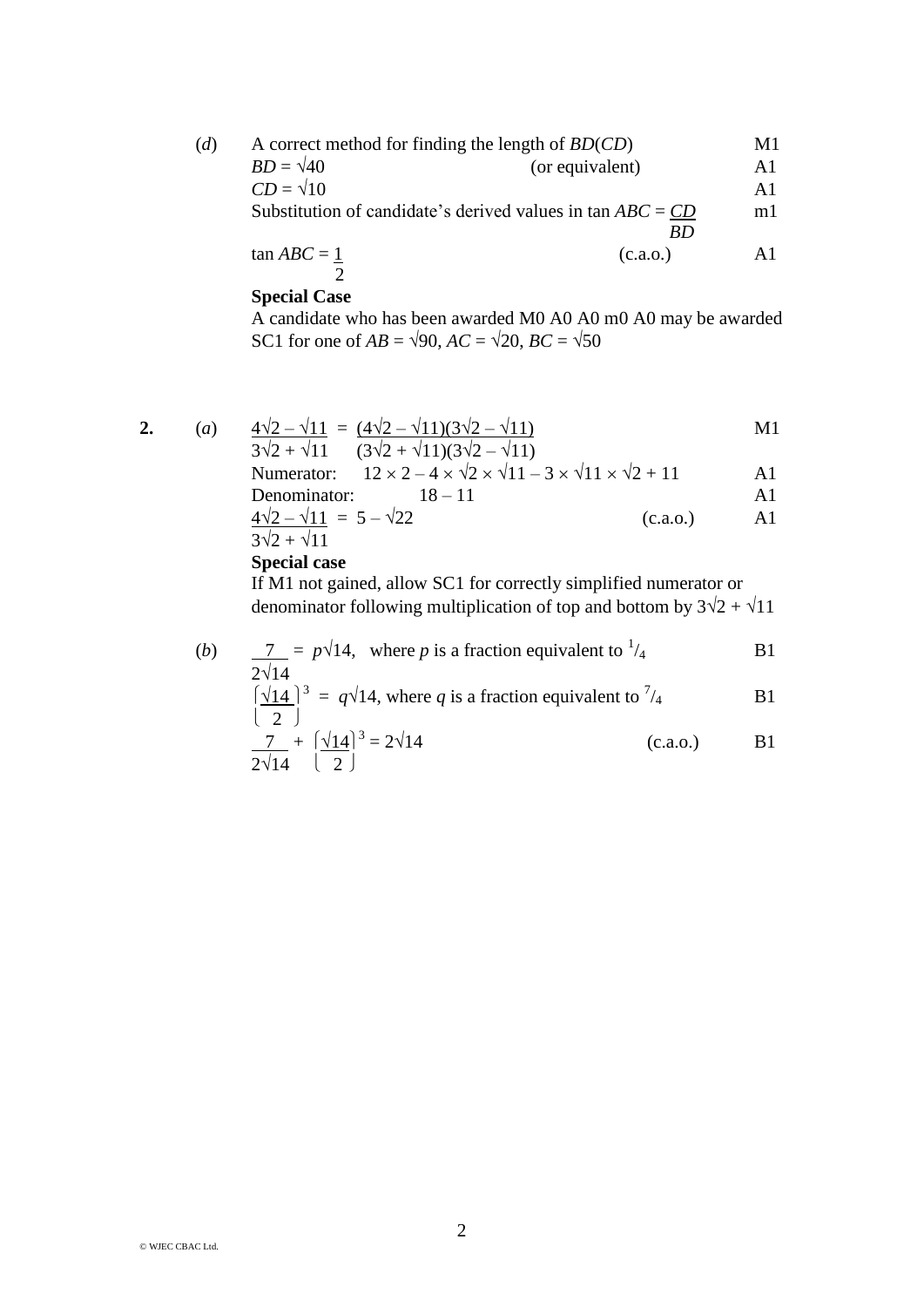| (d) | A correct method for finding the length of $BD(CD)$ |                                                                     |               |  |  |
|-----|-----------------------------------------------------|---------------------------------------------------------------------|---------------|--|--|
|     | $BD = \sqrt{40}$                                    | (or equivalent)                                                     | A1            |  |  |
|     | $CD = \sqrt{10}$                                    |                                                                     | $\mathbf{A}1$ |  |  |
|     |                                                     | Substitution of candidate's derived values in $\text{tan} ABC = CD$ | ml            |  |  |
|     |                                                     | -RD                                                                 |               |  |  |
|     | $tan ABC = 1$                                       | (c.a.o.)                                                            | ΑĨ            |  |  |
|     |                                                     |                                                                     |               |  |  |

## **Special Case**

A candidate who has been awarded M0 A0 A0 m0 A0 may be awarded SC1 for one of  $AB = \sqrt{90}$ ,  $AC = \sqrt{20}$ ,  $BC = \sqrt{50}$ 

2. (a) 
$$
\frac{4\sqrt{2} - \sqrt{11}}{3\sqrt{2} + \sqrt{11}} = \frac{(4\sqrt{2} - \sqrt{11})(3\sqrt{2} - \sqrt{11})}{(3\sqrt{2} + \sqrt{11})(3\sqrt{2} - \sqrt{11})}
$$
M1

$$
3\sqrt{2} + \sqrt{11} \quad (3\sqrt{2} + \sqrt{11})(3\sqrt{2} - \sqrt{11})
$$
  
Numberator:  $12 \times 2 - 4 \times \sqrt{2} \times \sqrt{11} - 3 \times \sqrt{11} \times \sqrt{2} + 11$ 

Denominator: 
$$
18-11
$$
 A1  
\n $\frac{4\sqrt{2} - \sqrt{11}}{3\sqrt{2} + \sqrt{11}} = 5 - \sqrt{22}$  (c.a.o.) A1

**Special case**

If M1 not gained, allow SC1 for correctly simplified numerator or denominator following multiplication of top and bottom by  $3\sqrt{2} + \sqrt{11}$ 

(b) 
$$
\frac{7}{2\sqrt{14}} = p\sqrt{14}
$$
, where *p* is a fraction equivalent to <sup>1</sup>/<sub>4</sub>  
\n $\left[\frac{\sqrt{14}}{2}\right]^3 = q\sqrt{14}$ , where *q* is a fraction equivalent to <sup>7</sup>/<sub>4</sub>  
\n $\frac{7}{2\sqrt{14}} + \left[\frac{\sqrt{14}}{2}\right]^3 = 2\sqrt{14}$   
\n(c.a.o.)  
\nB1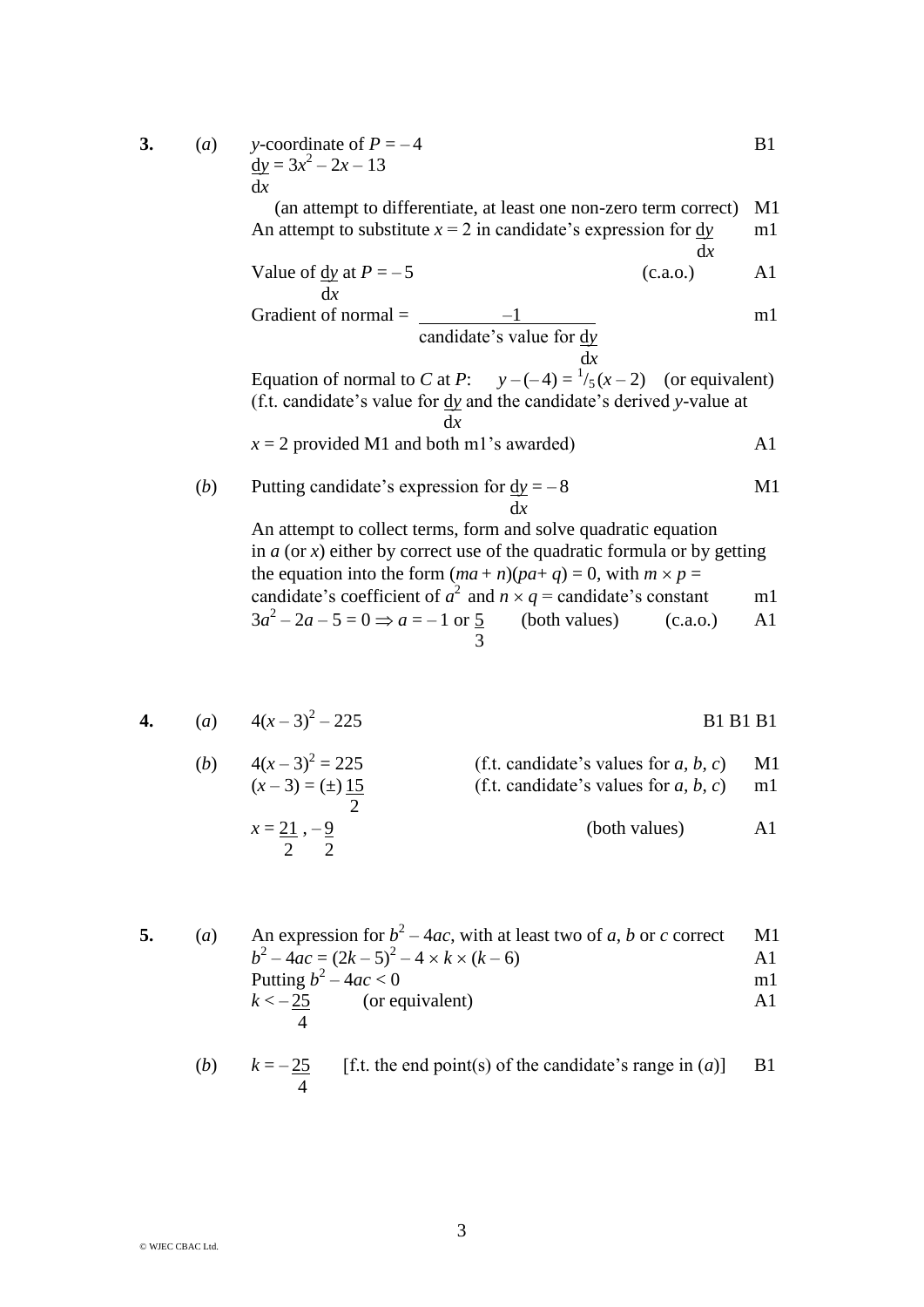| 3. | (a) | y-coordinate of $P = -4$                                                                                                                                              | B1 |
|----|-----|-----------------------------------------------------------------------------------------------------------------------------------------------------------------------|----|
|    |     | $dy = 3x^2 - 2x - 13$                                                                                                                                                 |    |
|    |     | dx                                                                                                                                                                    |    |
|    |     | (an attempt to differentiate, at least one non-zero term correct)                                                                                                     | M1 |
|    |     | An attempt to substitute $x = 2$ in candidate's expression for $\frac{dy}{dx}$<br>dx                                                                                  | m1 |
|    |     | Value of $\frac{dy}{dx}$ at $P = -5$<br>(c.a.o.)<br>dx                                                                                                                | A1 |
|    |     | Gradient of normal $=$                                                                                                                                                | m1 |
|    |     | candidate's value for $\frac{dy}{dx}$                                                                                                                                 |    |
|    |     | dx<br>Equation of normal to C at P: $y-(-4) = \frac{1}{5}(x-2)$ (or equivalent)<br>(f.t. candidate's value for $\frac{dy}{dx}$ and the candidate's derived y-value at |    |
|    |     | dx                                                                                                                                                                    |    |
|    |     | $x = 2$ provided M1 and both m1's awarded)                                                                                                                            | A1 |
|    | (b) | Putting candidate's expression for $dy = -8$<br>dx                                                                                                                    | M1 |
|    |     | An attempt to collect terms, form and solve quadratic equation<br>in $a$ (or x) either by correct use of the quadratic formula or by getting                          |    |
|    |     | the equation into the form $(ma+n)(pa+q) = 0$ , with $m \times p =$                                                                                                   |    |
|    |     | candidate's coefficient of $a^2$ and $n \times q$ = candidate's constant                                                                                              | m1 |
|    |     | $3a^2 - 2a - 5 = 0 \Rightarrow a = -1$ or 5 (both values)<br>(c.a.0.)                                                                                                 | A1 |
|    |     | 3                                                                                                                                                                     |    |

$$
\mathcal{L}_{\mathcal{L}_{\mathcal{L}}}
$$

4. (a) 
$$
4(x-3)^2 - 225
$$
 B1 B1 B1

(b) 
$$
4(x-3)^2 = 225
$$
  
\n $(x-3) = (\pm) \frac{15}{2}$   
\n $x = \frac{21}{2}, -\frac{9}{2}$   
\n(f.t. candidate's values for *a, b, c*)  
\n(f.t. candidate's values for *a, b, c*)  
\n(both values)  
\nA1

5. (a) An expression for 
$$
b^2 - 4ac
$$
, with at least two of *a*, *b* or *c* correct M1  
\n
$$
b^2 - 4ac = (2k - 5)^2 - 4 \times k \times (k - 6)
$$
\nPutting  $b^2 - 4ac < 0$  m1  
\n $k < -\frac{25}{4}$  (or equivalent) A1

(b) 
$$
k = -\frac{25}{4}
$$
 [f.t. the end point(s) of the candidate's range in (a)] B1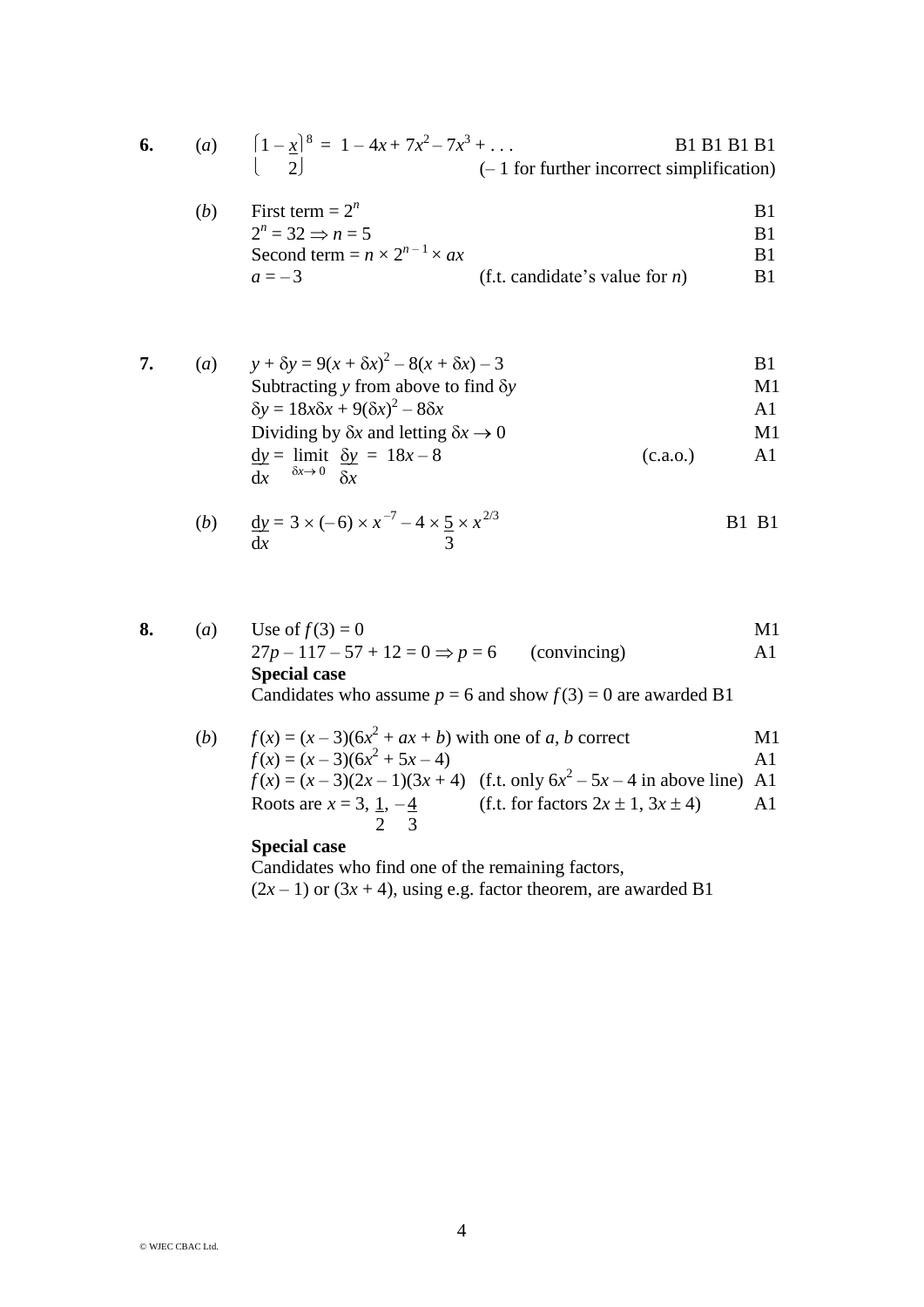| 6. |  | (a) $\left[1-x\right]^8 = 1 - 4x + 7x^2 - 7x^3 + \dots$ | <b>B1 B1 B1 B1</b>                           |
|----|--|---------------------------------------------------------|----------------------------------------------|
|    |  |                                                         | $(-1)$ for further incorrect simplification) |

| (b) | First term $= 2^n$                         |                                   |            |
|-----|--------------------------------------------|-----------------------------------|------------|
|     | $2^n = 32 \Rightarrow n = 5$               |                                   | R1         |
|     | Second term = $n \times 2^{n-1} \times ax$ |                                   | R1         |
|     | $a = -3$                                   | (f.t. candidate's value for $n$ ) | <b>B</b> 1 |

7. (a) 
$$
y + \delta y = 9(x + \delta x)^2 - 8(x + \delta x) - 3
$$
  
\nSubtracting y from above to find  $\delta y$   
\n $\delta y = 18x\delta x + 9(\delta x)^2 - 8\delta x$   
\nDividing by  $\delta x$  and letting  $\delta x \to 0$   
\n $\frac{dy}{dx} = \lim_{\delta x \to 0} \frac{\delta y}{\delta x} = 18x - 8$   
\n(b) (c.a.o.)

(b) 
$$
\frac{dy}{dx} = 3 \times (-6) \times x^{-7} - 4 \times \frac{5}{3} \times x^{2/3}
$$
 B1 B1

8. (a) Use of 
$$
f(3) = 0
$$
  
\n $27p - 117 - 57 + 12 = 0 \Rightarrow p = 6$  (convincing)  
\n**Special case**  
\n**Conditional Special case**  
\n**Conditional**  $p = 6$  and show  $f(3) = 0$  are awarded B1  
\n**Formula** (b)  $f(x) = (x - 3)(6x^2 + ax + b)$  with one of *a*, *b* correct

$$
f(x) = (x-3)(6x^2 + 5x - 4)
$$
  
\n
$$
f(x) = (x-3)(6x^2 + 5x - 4)
$$
  
\n
$$
f(x) = (x-3)(2x-1)(3x+4)
$$
 (f.t. only  $6x^2 - 5x - 4$  in above line) A1  
\nRoots are  $x = 3$ ,  $\frac{1}{2}$ ,  $-\frac{4}{3}$  (f.t. for factors  $2x \pm 1$ ,  $3x \pm 4$ ) A1

## **Special case**

Candidates who find one of the remaining factors,  $(2x-1)$  or  $(3x+4)$ , using e.g. factor theorem, are awarded B1